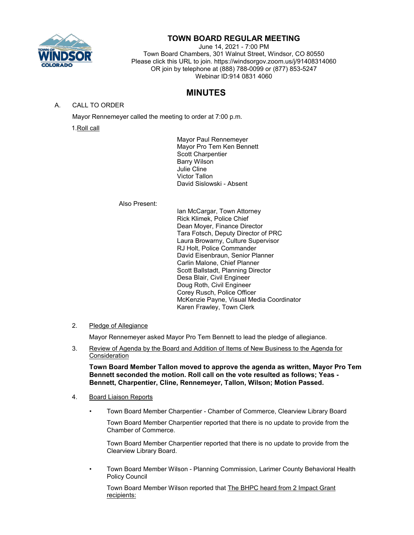

# **TOWN BOARD REGULAR MEETING**

June 14, 2021 - 7:00 PM Town Board Chambers, 301 Walnut Street, Windsor, CO 80550 Please click this URL to join. https://windsorgov.zoom.us/j/91408314060 OR join by telephone at (888) 788-0099 or (877) 853-5247 Webinar ID:914 0831 4060

# **MINUTES**

A. CALL TO ORDER

Mayor Rennemeyer called the meeting to order at 7:00 p.m.

1.Roll call

Mayor Paul Rennemeyer Mayor Pro Tem Ken Bennett Scott Charpentier Barry Wilson Julie Cline Victor Tallon David Sislowski - Absent

Also Present:

Ian McCargar, Town Attorney Rick Klimek, Police Chief Dean Moyer, Finance Director Tara Fotsch, Deputy Director of PRC Laura Browarny, Culture Supervisor RJ Holt, Police Commander David Eisenbraun, Senior Planner Carlin Malone, Chief Planner Scott Ballstadt, Planning Director Desa Blair, Civil Engineer Doug Roth, Civil Engineer Corey Rusch, Police Officer McKenzie Payne, Visual Media Coordinator Karen Frawley, Town Clerk

# 2. Pledge of Allegiance

Mayor Rennemeyer asked Mayor Pro Tem Bennett to lead the pledge of allegiance.

3. Review of Agenda by the Board and Addition of Items of New Business to the Agenda for Consideration

**Town Board Member Tallon moved to approve the agenda as written, Mayor Pro Tem Bennett seconded the motion. Roll call on the vote resulted as follows; Yeas - Bennett, Charpentier, Cline, Rennemeyer, Tallon, Wilson; Motion Passed.**

# 4. Board Liaison Reports

• Town Board Member Charpentier - Chamber of Commerce, Clearview Library Board

Town Board Member Charpentier reported that there is no update to provide from the Chamber of Commerce.

Town Board Member Charpentier reported that there is no update to provide from the Clearview Library Board.

• Town Board Member Wilson - Planning Commission, Larimer County Behavioral Health Policy Council

Town Board Member Wilson reported that The BHPC heard from 2 Impact Grant recipients: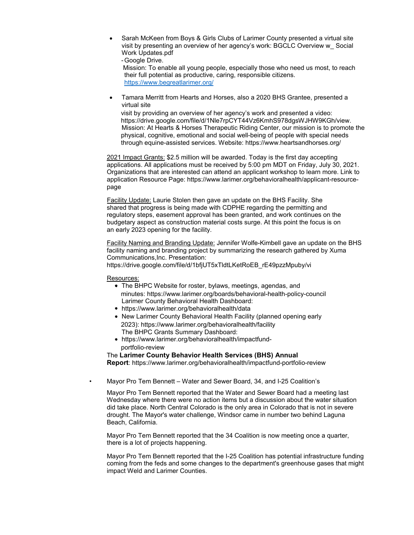Sarah McKeen from Boys & Girls Clubs of Larimer County presented a virtual site visit by [presenting an overview of her agency's work: BGCLC Overview w\\_ Social](https://drive.google.com/file/d/1VWMiYOab6vwhE9dS4B32CFgCg8Jc9Smr/view)  [Work Updates.pdf](https://drive.google.com/file/d/1VWMiYOab6vwhE9dS4B32CFgCg8Jc9Smr/view) [-Google Drive.](https://drive.google.com/file/d/1VWMiYOab6vwhE9dS4B32CFgCg8Jc9Smr/view)

Mission: To enable all young people, especially those who need us most, to reach their full potential as productive, caring, responsible citizens. <https://www.begreatlarimer.org/>

• Tamara Merritt from Hearts and Horses, also a 2020 BHS Grantee, presented a virtual site

visit by providing an overview of her agency's work and presented a video: [https://drive.google.com/file/d/1Nle7rpCYT44Vz6KmhS978dgsWJHW9KGh/view.](https://drive.google.com/file/d/1Nle7rpCYT44Vz6KmhS978dgsWJHW9KGh/view) Mission: At Hearts & Horses Therapeutic Riding Center, our mission is to promote the physical, cognitive, emotional and social well-being of people with special needs through equine-assisted services. Website:<https://www.heartsandhorses.org/>

2021 Impact Grants: \$2.5 million will be awarded. Today is the first day accepting applications. All applications must be received by 5:00 pm MDT on Friday, July 30, 2021. Organizations that are interested can attend an applicant workshop to learn more. Link to application Resource Page: [https://www.larimer.org/behavioralhealth/applicant-resource](https://www.larimer.org/behavioralhealth/applicant-resource-page)[page](https://www.larimer.org/behavioralhealth/applicant-resource-page)

Facility Update: Laurie Stolen then gave an update on the BHS Facility. She shared that progress is being made with CDPHE regarding the permitting and regulatory steps, easement approval has been granted, and work continues on the budgetary aspect as construction material costs surge. At this point the focus is on an early 2023 opening for the facility.

Facility Naming and Branding Update: Jennifer Wolfe-Kimbell gave an update on the BHS facility naming and branding project by summarizing the research gathered by Xuma Communications,Inc. Presentation:

[https://drive.google.com/file/d/1bfjUT5xTldtLKetRoEB\\_rE49pzzMpuby/vi](https://drive.google.com/file/d/1bfjUT5xTldtLKetRoEB_rE49pzzMpuby/view)

Resources:

- The BHPC Website for roster, bylaws, meetings, agendas, and minutes:<https://www.larimer.org/boards/behavioral-health-policy-council> Larimer County Behavioral Health Dashboard:
- <https://www.larimer.org/behavioralhealth/data>
- New Larimer County Behavioral Health Facility (planned opening early 2023):<https://www.larimer.org/behavioralhealth/facility> [The BHPC Grants Summary Dashboard:](https://www.larimer.org/behavioralhealth/impactfund-portfolio-review)
- [https://www.larimer.org/behavioralhealth/impactfund](https://www.larimer.org/behavioralhealth/impactfund-portfolio-review)[portfolio-review](https://www.larimer.org/behavioralhealth/impactfund-portfolio-review)

# The **Larimer County Behavior Health Services (BHS) Annual**

**Report**:<https://www.larimer.org/behavioralhealth/impactfund-portfolio-review>

• Mayor Pro Tem Bennett – Water and Sewer Board, 34, and I-25 Coalition's

Mayor Pro Tem Bennett reported that the Water and Sewer Board had a meeting last Wednesday where there were no action items but a discussion about the water situation did take place. North Central Colorado is the only area in Colorado that is not in severe drought. The Mayor's water challenge, Windsor came in number two behind Laguna Beach, California.

Mayor Pro Tem Bennett reported that the 34 Coalition is now meeting once a quarter, there is a lot of projects happening.

Mayor Pro Tem Bennett reported that the I-25 Coalition has potential infrastructure funding coming from the feds and some changes to the department's greenhouse gases that might impact Weld and Larimer Counties.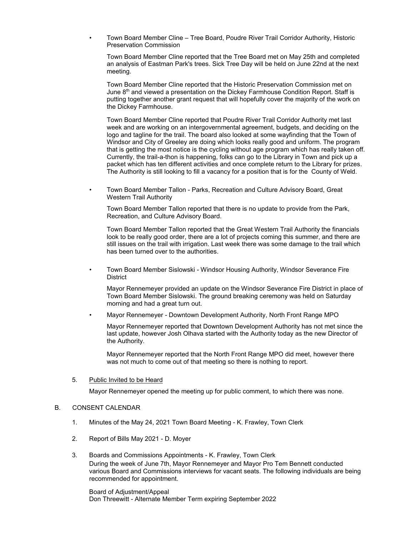• Town Board Member Cline – Tree Board, Poudre River Trail Corridor Authority, Historic Preservation Commission

Town Board Member Cline reported that the Tree Board met on May 25th and completed an analysis of Eastman Park's trees. Sick Tree Day will be held on June 22nd at the next meeting.

Town Board Member Cline reported that the Historic Preservation Commission met on June  $8<sup>th</sup>$  and viewed a presentation on the Dickey Farmhouse Condition Report. Staff is putting together another grant request that will hopefully cover the majority of the work on the Dickey Farmhouse.

Town Board Member Cline reported that Poudre River Trail Corridor Authority met last week and are working on an intergovernmental agreement, budgets, and deciding on the logo and tagline for the trail. The board also looked at some wayfinding that the Town of Windsor and City of Greeley are doing which looks really good and uniform. The program that is getting the most notice is the cycling without age program which has really taken off. Currently, the trail-a-thon is happening, folks can go to the Library in Town and pick up a packet which has ten different activities and once complete return to the Library for prizes. The Authority is still looking to fill a vacancy for a position that is for the County of Weld.

• Town Board Member Tallon - Parks, Recreation and Culture Advisory Board, Great Western Trail Authority

Town Board Member Tallon reported that there is no update to provide from the Park, Recreation, and Culture Advisory Board.

Town Board Member Tallon reported that the Great Western Trail Authority the financials look to be really good order, there are a lot of projects coming this summer, and there are still issues on the trail with irrigation. Last week there was some damage to the trail which has been turned over to the authorities.

• Town Board Member Sislowski - Windsor Housing Authority, Windsor Severance Fire **District** 

Mayor Rennemeyer provided an update on the Windsor Severance Fire District in place of Town Board Member Sislowski. The ground breaking ceremony was held on Saturday morning and had a great turn out.

• Mayor Rennemeyer - Downtown Development Authority, North Front Range MPO

Mayor Rennemeyer reported that Downtown Development Authority has not met since the last update, however Josh Olhava started with the Authority today as the new Director of the Authority.

Mayor Rennemeyer reported that the North Front Range MPO did meet, however there was not much to come out of that meeting so there is nothing to report.

#### 5. Public Invited to be Heard

Mayor Rennemeyer opened the meeting up for public comment, to which there was none.

#### B. CONSENT CALENDAR

- 1. Minutes of the May 24, 2021 Town Board Meeting K. Frawley, Town Clerk
- 2. Report of Bills May 2021 D. Moyer
- 3. Boards and Commissions Appointments K. Frawley, Town Clerk During the week of June 7th, Mayor Rennemeyer and Mayor Pro Tem Bennett conducted various Board and Commissions interviews for vacant seats. The following individuals are being recommended for appointment.

Board of Adjustment/Appeal Don Threewitt - Alternate Member Term expiring September 2022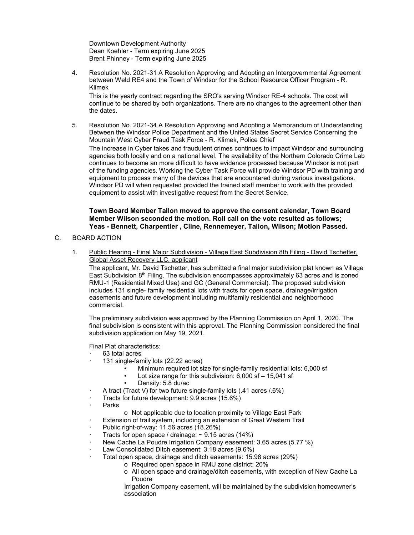Downtown Development Authority Dean Koehler - Term expiring June 2025 Brent Phinney - Term expiring June 2025

4. Resolution No. 2021-31 A Resolution Approving and Adopting an Intergovernmental Agreement between Weld RE4 and the Town of Windsor for the School Resource Officer Program - R. Klimek

This is the yearly contract regarding the SRO's serving Windsor RE-4 schools. The cost will continue to be shared by both organizations. There are no changes to the agreement other than the dates.

5. Resolution No. 2021-34 A Resolution Approving and Adopting a Memorandum of Understanding Between the Windsor Police Department and the United States Secret Service Concerning the Mountain West Cyber Fraud Task Force - R. Klimek, Police Chief The increase in Cyber takes and fraudulent crimes continues to impact Windsor and surrounding

agencies both locally and on a national level. The availability of the Northern Colorado Crime Lab continues to become an more difficult to have evidence processed because Windsor is not part of the funding agencies. Working the Cyber Task Force will provide Windsor PD with training and equipment to process many of the devices that are encountered during various investigations. Windsor PD will when requested provided the trained staff member to work with the provided equipment to assist with investigative request from the Secret Service.

### **Town Board Member Tallon moved to approve the consent calendar, Town Board Member Wilson seconded the motion. Roll call on the vote resulted as follows; Yeas - Bennett, Charpentier , Cline, Rennemeyer, Tallon, Wilson; Motion Passed.**

# C. BOARD ACTION

1. Public Hearing - Final Major Subdivision - Village East Subdivision 8th Filing - David Tschetter, Global Asset Recovery LLC, applicant

The applicant, Mr. David Tschetter, has submitted a final major subdivision plat known as Village East Subdivision  $8<sup>th</sup>$  Filing. The subdivision encompasses approximately 63 acres and is zoned RMU-1 (Residential Mixed Use) and GC (General Commercial). The proposed subdivision includes 131 single- family residential lots with tracts for open space, drainage/irrigation easements and future development including multifamily residential and neighborhood commercial.

The preliminary subdivision was approved by the Planning Commission on April 1, 2020. The final subdivision is consistent with this approval. The Planning Commission considered the final subdivision application on May 19, 2021.

Final Plat characteristics:

- 63 total acres
- 131 single-family lots (22.22 acres)
	- Minimum required lot size for single-family residential lots: 6,000 sf
	- Lot size range for this subdivision: 6,000 sf 15,041 sf
	- Density: 5.8 du/ac
- · A tract (Tract V) for two future single-family lots (.41 acres /.6%)
- Tracts for future development: 9.9 acres (15.6%)
- · Parks
	- o Not applicable due to location proximity to Village East Park
	- Extension of trail system, including an extension of Great Western Trail
- · Public right-of-way: 11.56 acres (18.26%)
- Tracts for open space / drainage:  $\sim$  9.15 acres (14%)
- New Cache La Poudre Irrigation Company easement: 3.65 acres (5.77 %)
- Law Consolidated Ditch easement: 3.18 acres (9.6%)
	- · Total open space, drainage and ditch easements: 15.98 acres (29%)
		- o Required open space in RMU zone district: 20% o All open space and drainage/ditch easements, with exception of New Cache La Poudre

Irrigation Company easement, will be maintained by the subdivision homeowner's association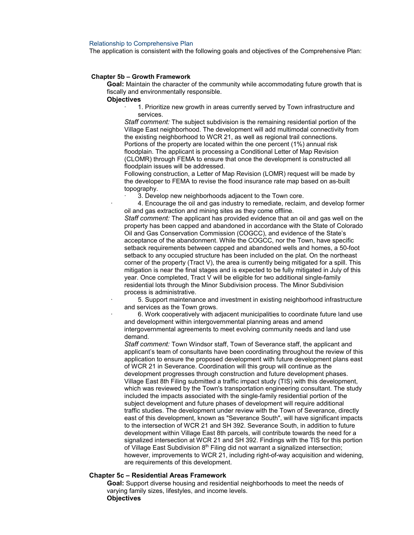#### Relationship to Comprehensive Plan

The application is consistent with the following goals and objectives of the Comprehensive Plan:

#### **Chapter 5b – Growth Framework**

**Goal:** Maintain the character of the community while accommodating future growth that is fiscally and environmentally responsible.

**Objectives**

1. Prioritize new growth in areas currently served by Town infrastructure and services.

*Staff comment:* The subject subdivision is the remaining residential portion of the Village East neighborhood. The development will add multimodal connectivity from the existing neighborhood to WCR 21, as well as regional trail connections. Portions of the property are located within the one percent (1%) annual risk floodplain. The applicant is processing a Conditional Letter of Map Revision (CLOMR) through FEMA to ensure that once the development is constructed all floodplain issues will be addressed.

Following construction, a Letter of Map Revision (LOMR) request will be made by the developer to FEMA to revise the flood insurance rate map based on as-built topography.

3. Develop new neighborhoods adjacent to the Town core.

· 4. Encourage the oil and gas industry to remediate, reclaim, and develop former oil and gas extraction and mining sites as they come offline. *Staff comment:* The applicant has provided evidence that an oil and gas well on the property has been capped and abandoned in accordance with the State of Colorado Oil and Gas Conservation Commission (COGCC), and evidence of the State's acceptance of the abandonment. While the COGCC, nor the Town, have specific setback requirements between capped and abandoned wells and homes, a 50-foot setback to any occupied structure has been included on the plat. On the northeast corner of the property (Tract V), the area is currently being mitigated for a spill. This mitigation is near the final stages and is expected to be fully mitigated in July of this year. Once completed, Tract V will be eligible for two additional single-family residential lots through the Minor Subdivision process. The Minor Subdivision process is administrative.

· 5. Support maintenance and investment in existing neighborhood infrastructure and services as the Town grows.

· 6. Work cooperatively with adjacent municipalities to coordinate future land use and development within intergovernmental planning areas and amend intergovernmental agreements to meet evolving community needs and land use demand.

*Staff comment:* Town Windsor staff, Town of Severance staff, the applicant and applicant's team of consultants have been coordinating throughout the review of this application to ensure the proposed development with future development plans east of WCR 21 in Severance. Coordination will this group will continue as the development progresses through construction and future development phases. Village East 8th Filing submitted a traffic impact study (TIS) with this development, which was reviewed by the Town's transportation engineering consultant. The study included the impacts associated with the single-family residential portion of the subject development and future phases of development will require additional traffic studies. The development under review with the Town of Severance, directly east of this development, known as "Severance South", will have significant impacts to the intersection of WCR 21 and SH 392. Severance South, in addition to future development within Village East 8th parcels, will contribute towards the need for a signalized intersection at WCR 21 and SH 392. Findings with the TIS for this portion of Village East Subdivision 8<sup>th</sup> Filing did not warrant a signalized intersection; however, improvements to WCR 21, including right-of-way acquisition and widening, are requirements of this development.

#### **Chapter 5c – Residential Areas Framework**

**Goal:** Support diverse housing and residential neighborhoods to meet the needs of varying family sizes, lifestyles, and income levels. **Objectives**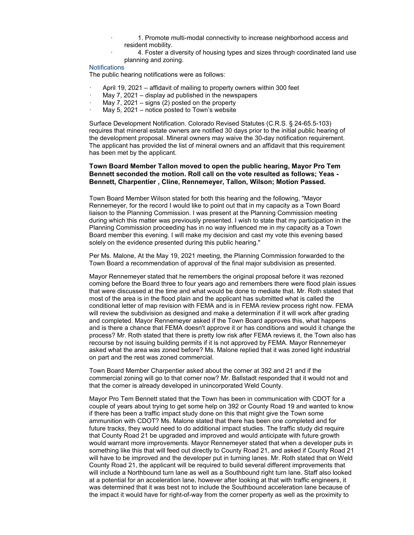- · 1. Promote multi-modal connectivity to increase neighborhood access and resident mobility.
- 4. Foster a diversity of housing types and sizes through coordinated land use planning and zoning.

#### **Notifications**

The public hearing notifications were as follows:

- April 19, 2021 affidavit of mailing to property owners within 300 feet
- May  $7$ , 2021 display ad published in the newspapers
- May 7, 2021 signs  $(2)$  posted on the property
- May 5, 2021 notice posted to Town's website

Surface Development Notification. Colorado Revised Statutes (C.R.S. § 24-65.5-103) requires that mineral estate owners are notified 30 days prior to the initial public hearing of the development proposal. Mineral owners may waive the 30-day notification requirement. The applicant has provided the list of mineral owners and an affidavit that this requirement has been met by the applicant.

### **Town Board Member Tallon moved to open the public hearing, Mayor Pro Tem Bennett seconded the motion. Roll call on the vote resulted as follows; Yeas - Bennett, Charpentier , Cline, Rennemeyer, Tallon, Wilson; Motion Passed.**

Town Board Member Wilson stated for both this hearing and the following, "Mayor Rennemeyer, for the record I would like to point out that in my capacity as a Town Board liaison to the Planning Commission. I was present at the Planning Commission meeting during which this matter was previously presented. I wish to state that my participation in the Planning Commission proceeding has in no way influenced me in my capacity as a Town Board member this evening. I will make my decision and cast my vote this evening based solely on the evidence presented during this public hearing."

Per Ms. Malone, At the May 19, 2021 meeting, the Planning Commission forwarded to the Town Board a recommendation of approval of the final major subdivision as presented.

Mayor Rennemeyer stated that he remembers the original proposal before it was rezoned coming before the Board three to four years ago and remembers there were flood plain issues that were discussed at the time and what would be done to mediate that. Mr. Roth stated that most of the area is in the flood plain and the applicant has submitted what is called the conditional letter of map revision with FEMA and is in FEMA review process right now. FEMA will review the subdivision as designed and make a determination if it will work after grading and completed. Mayor Rennemeyer asked if the Town Board approves this, what happens and is there a chance that FEMA doesn't approve it or has conditions and would it change the process? Mr. Roth stated that there is pretty low risk after FEMA reviews it, the Town also has recourse by not issuing building permits if it is not approved by FEMA. Mayor Rennemeyer asked what the area was zoned before? Ms. Malone replied that it was zoned light industrial on part and the rest was zoned commercial.

Town Board Member Charpentier asked about the corner at 392 and 21 and if the commercial zoning will go to that corner now? Mr. Ballstadt responded that it would not and that the corner is already developed in unincorporated Weld County.

Mayor Pro Tem Bennett stated that the Town has been in communication with CDOT for a couple of years about trying to get some help on 392 or County Road 19 and wanted to know if there has been a traffic impact study done on this that might give the Town some ammunition with CDOT? Ms. Malone stated that there has been one completed and for future tracks, they would need to do additional impact studies. The traffic study did require that County Road 21 be upgraded and improved and would anticipate with future growth would warrant more improvements. Mayor Rennemeyer stated that when a developer puts in something like this that will feed out directly to County Road 21, and asked if County Road 21 will have to be improved and the developer put in turning lanes. Mr. Roth stated that on Weld County Road 21, the applicant will be required to build several different improvements that will include a Northbound turn lane as well as a Southbound right turn lane. Staff also looked at a potential for an acceleration lane, however after looking at that with traffic engineers, it was determined that it was best not to include the Southbound acceleration lane because of the impact it would have for right-of-way from the corner property as well as the proximity to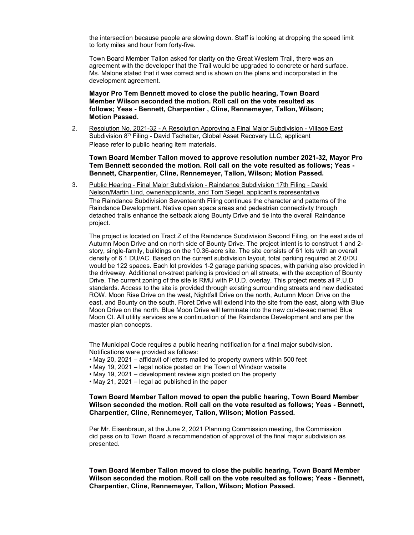the intersection because people are slowing down. Staff is looking at dropping the speed limit to forty miles and hour from forty-five.

Town Board Member Tallon asked for clarity on the Great Western Trail, there was an agreement with the developer that the Trail would be upgraded to concrete or hard surface. Ms. Malone stated that it was correct and is shown on the plans and incorporated in the development agreement.

**Mayor Pro Tem Bennett moved to close the public hearing, Town Board Member Wilson seconded the motion. Roll call on the vote resulted as follows; Yeas - Bennett, Charpentier , Cline, Rennemeyer, Tallon, Wilson; Motion Passed.**

2. Resolution No. 2021-32 - A Resolution Approving a Final Major Subdivision - Village East Subdivision 8<sup>th</sup> Filing - David Tschetter, Global Asset Recovery LLC, applicant Please refer to public hearing item materials.

**Town Board Member Tallon moved to approve resolution number 2021-32, Mayor Pro Tem Bennett seconded the motion. Roll call on the vote resulted as follows; Yeas - Bennett, Charpentier, Cline, Rennemeyer, Tallon, Wilson; Motion Passed.**

3. Public Hearing - Final Major Subdivision - Raindance Subdivision 17th Filing - David Nelson/Martin Lind, owner/applicants, and Tom Siegel, applicant's representative The Raindance Subdivision Seventeenth Filing continues the character and patterns of the Raindance Development. Native open space areas and pedestrian connectivity through detached trails enhance the setback along Bounty Drive and tie into the overall Raindance project.

The project is located on Tract Z of the Raindance Subdivision Second Filing, on the east side of Autumn Moon Drive and on north side of Bounty Drive. The project intent is to construct 1 and 2 story, single-family, buildings on the 10.36-acre site. The site consists of 61 lots with an overall density of 6.1 DU/AC. Based on the current subdivision layout, total parking required at 2.0/DU would be 122 spaces. Each lot provides 1-2 garage parking spaces, with parking also provided in the driveway. Additional on-street parking is provided on all streets, with the exception of Bounty Drive. The current zoning of the site is RMU with P.U.D. overlay. This project meets all P.U.D standards. Access to the site is provided through existing surrounding streets and new dedicated ROW. Moon Rise Drive on the west, Nightfall Drive on the north, Autumn Moon Drive on the east, and Bounty on the south. Floret Drive will extend into the site from the east, along with Blue Moon Drive on the north. Blue Moon Drive will terminate into the new cul-de-sac named Blue Moon Ct. All utility services are a continuation of the Raindance Development and are per the master plan concepts.

The Municipal Code requires a public hearing notification for a final major subdivision. Notifications were provided as follows:

- May 20, 2021 affidavit of letters mailed to property owners within 500 feet
- May 19, 2021 legal notice posted on the Town of Windsor website
- May 19, 2021 development review sign posted on the property
- May 21, 2021 legal ad published in the paper

## **Town Board Member Tallon moved to open the public hearing, Town Board Member Wilson seconded the motion. Roll call on the vote resulted as follows; Yeas - Bennett, Charpentier, Cline, Rennemeyer, Tallon, Wilson; Motion Passed.**

Per Mr. Eisenbraun, at the June 2, 2021 Planning Commission meeting, the Commission did pass on to Town Board a recommendation of approval of the final major subdivision as presented.

**Town Board Member Tallon moved to close the public hearing, Town Board Member Wilson seconded the motion. Roll call on the vote resulted as follows; Yeas - Bennett, Charpentier, Cline, Rennemeyer, Tallon, Wilson; Motion Passed.**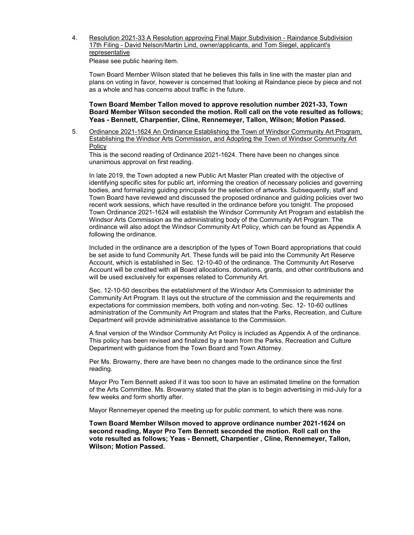4. Resolution 2021-33 A Resolution approving Final Major Subdivision - Raindance Subdivision 17th Filing - David Nelson/Martin Lind, owner/applicants, and Tom Siegel, applicant's **representative** 

Please see public hearing item.

Town Board Member Wilson stated that he believes this falls in line with the master plan and plans on voting in favor, however is concerned that looking at Raindance piece by piece and not as a whole and has concerns about traffic in the future.

**Town Board Member Tallon moved to approve resolution number 2021-33, Town Board Member Wilson seconded the motion. Roll call on the vote resulted as follows; Yeas - Bennett, Charpentier, Cline, Rennemeyer, Tallon, Wilson; Motion Passed.**

5. Ordinance 2021-1624 An Ordinance Establishing the Town of Windsor Community Art Program, Establishing the Windsor Arts Commission, and Adopting the Town of Windsor Community Art Policy

This is the second reading of Ordinance 2021-1624. There have been no changes since unanimous approval on first reading.

In late 2019, the Town adopted a new Public Art Master Plan created with the objective of identifying specific sites for public art, informing the creation of necessary policies and governing bodies, and formalizing guiding principals for the selection of artworks. Subsequently, staff and Town Board have reviewed and discussed the proposed ordinance and guiding policies over two recent work sessions, which have resulted in the ordinance before you tonight. The proposed Town Ordinance 2021-1624 will establish the Windsor Community Art Program and establish the Windsor Arts Commission as the administrating body of the Community Art Program. The ordinance will also adopt the Windsor Community Art Policy, which can be found as Appendix A following the ordinance.

Included in the ordinance are a description of the types of Town Board appropriations that could be set aside to fund Community Art. These funds will be paid into the Community Art Reserve Account, which is established in Sec. 12-10-40 of the ordinance. The Community Art Reserve Account will be credited with all Board allocations, donations, grants, and other contributions and will be used exclusively for expenses related to Community Art.

Sec. 12-10-50 describes the establishment of the Windsor Arts Commission to administer the Community Art Program. It lays out the structure of the commission and the requirements and expectations for commission members, both voting and non-voting. Sec. 12- 10-60 outlines administration of the Community Art Program and states that the Parks, Recreation, and Culture Department will provide administrative assistance to the Commission.

A final version of the Windsor Community Art Policy is included as Appendix A of the ordinance. This policy has been revised and finalized by a team from the Parks, Recreation and Culture Department with guidance from the Town Board and Town Attorney.

Per Ms. Browarny, there are have been no changes made to the ordinance since the first reading.

Mayor Pro Tem Bennett asked if it was too soon to have an estimated timeline on the formation of the Arts Committee. Ms. Browarny stated that the plan is to begin advertising in mid-July for a few weeks and form shortly after.

Mayor Rennemeyer opened the meeting up for public comment, to which there was none.

**Town Board Member Wilson moved to approve ordinance number 2021-1624 on second reading, Mayor Pro Tem Bennett seconded the motion. Roll call on the vote resulted as follows; Yeas - Bennett, Charpentier , Cline, Rennemeyer, Tallon, Wilson; Motion Passed.**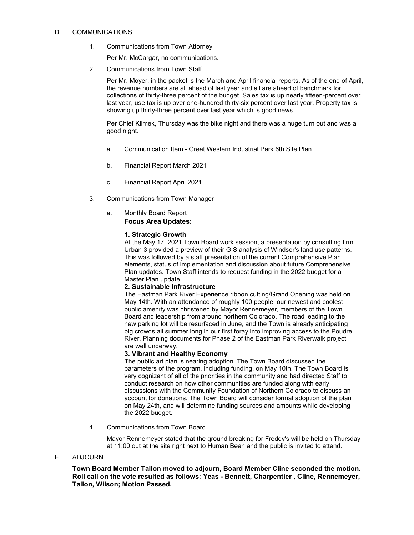# D. COMMUNICATIONS

1. Communications from Town Attorney

Per Mr. McCargar, no communications.

2. Communications from Town Staff

Per Mr. Moyer, in the packet is the March and April financial reports. As of the end of April, the revenue numbers are all ahead of last year and all are ahead of benchmark for collections of thirty-three percent of the budget. Sales tax is up nearly fifteen-percent over last year, use tax is up over one-hundred thirty-six percent over last year. Property tax is showing up thirty-three percent over last year which is good news.

Per Chief Klimek, Thursday was the bike night and there was a huge turn out and was a good night.

- a. Communication Item Great Western Industrial Park 6th Site Plan
- b. Financial Report March 2021
- c. Financial Report April 2021
- 3. Communications from Town Manager
	- a. Monthly Board Report **Focus Area Updates:**

# **1. Strategic Growth**

At the May 17, 2021 Town Board work session, a presentation by consulting firm Urban 3 provided a preview of their GIS analysis of Windsor's land use patterns. This was followed by a staff presentation of the current Comprehensive Plan elements, status of implementation and discussion about future Comprehensive Plan updates. Town Staff intends to request funding in the 2022 budget for a Master Plan update.

# **2. Sustainable Infrastructure**

The Eastman Park River Experience ribbon cutting/Grand Opening was held on May 14th. With an attendance of roughly 100 people, our newest and coolest public amenity was christened by Mayor Rennemeyer, members of the Town Board and leadership from around northern Colorado. The road leading to the new parking lot will be resurfaced in June, and the Town is already anticipating big crowds all summer long in our first foray into improving access to the Poudre River. Planning documents for Phase 2 of the Eastman Park Riverwalk project are well underway.

# **3. Vibrant and Healthy Economy**

The public art plan is nearing adoption. The Town Board discussed the parameters of the program, including funding, on May 10th. The Town Board is very cognizant of all of the priorities in the community and had directed Staff to conduct research on how other communities are funded along with early discussions with the Community Foundation of Northern Colorado to discuss an account for donations. The Town Board will consider formal adoption of the plan on May 24th, and will determine funding sources and amounts while developing the 2022 budget.

4. Communications from Town Board

Mayor Rennemeyer stated that the ground breaking for Freddy's will be held on Thursday at 11:00 out at the site right next to Human Bean and the public is invited to attend.

# E. ADJOURN

**Town Board Member Tallon moved to adjourn, Board Member Cline seconded the motion. Roll call on the vote resulted as follows; Yeas - Bennett, Charpentier , Cline, Rennemeyer, Tallon, Wilson; Motion Passed.**